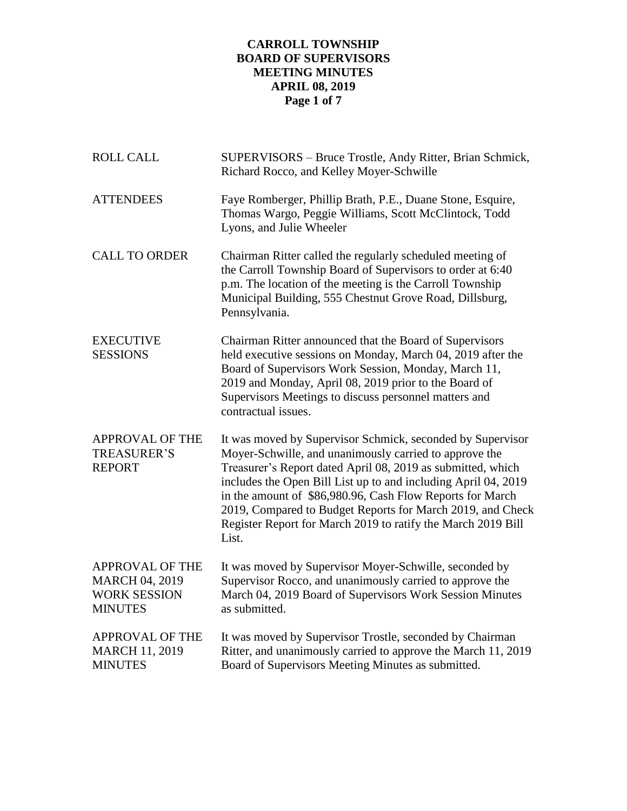# **CARROLL TOWNSHIP BOARD OF SUPERVISORS MEETING MINUTES APRIL 08, 2019 Page 1 of 7**

| <b>ROLL CALL</b>                                                                         | SUPERVISORS - Bruce Trostle, Andy Ritter, Brian Schmick,<br>Richard Rocco, and Kelley Moyer-Schwille                                                                                                                                                                                                                                                                                                                                                      |  |  |
|------------------------------------------------------------------------------------------|-----------------------------------------------------------------------------------------------------------------------------------------------------------------------------------------------------------------------------------------------------------------------------------------------------------------------------------------------------------------------------------------------------------------------------------------------------------|--|--|
| <b>ATTENDEES</b>                                                                         | Faye Romberger, Phillip Brath, P.E., Duane Stone, Esquire,<br>Thomas Wargo, Peggie Williams, Scott McClintock, Todd<br>Lyons, and Julie Wheeler                                                                                                                                                                                                                                                                                                           |  |  |
| <b>CALL TO ORDER</b>                                                                     | Chairman Ritter called the regularly scheduled meeting of<br>the Carroll Township Board of Supervisors to order at 6:40<br>p.m. The location of the meeting is the Carroll Township<br>Municipal Building, 555 Chestnut Grove Road, Dillsburg,<br>Pennsylvania.                                                                                                                                                                                           |  |  |
| <b>EXECUTIVE</b><br><b>SESSIONS</b>                                                      | Chairman Ritter announced that the Board of Supervisors<br>held executive sessions on Monday, March 04, 2019 after the<br>Board of Supervisors Work Session, Monday, March 11,<br>2019 and Monday, April 08, 2019 prior to the Board of<br>Supervisors Meetings to discuss personnel matters and<br>contractual issues.                                                                                                                                   |  |  |
| <b>APPROVAL OF THE</b><br><b>TREASURER'S</b><br><b>REPORT</b>                            | It was moved by Supervisor Schmick, seconded by Supervisor<br>Moyer-Schwille, and unanimously carried to approve the<br>Treasurer's Report dated April 08, 2019 as submitted, which<br>includes the Open Bill List up to and including April 04, 2019<br>in the amount of \$86,980.96, Cash Flow Reports for March<br>2019, Compared to Budget Reports for March 2019, and Check<br>Register Report for March 2019 to ratify the March 2019 Bill<br>List. |  |  |
| <b>APPROVAL OF THE</b><br><b>MARCH 04, 2019</b><br><b>WORK SESSION</b><br><b>MINUTES</b> | It was moved by Supervisor Moyer-Schwille, seconded by<br>Supervisor Rocco, and unanimously carried to approve the<br>March 04, 2019 Board of Supervisors Work Session Minutes<br>as submitted.                                                                                                                                                                                                                                                           |  |  |
| <b>APPROVAL OF THE</b><br><b>MARCH 11, 2019</b><br><b>MINUTES</b>                        | It was moved by Supervisor Trostle, seconded by Chairman<br>Ritter, and unanimously carried to approve the March 11, 2019<br>Board of Supervisors Meeting Minutes as submitted.                                                                                                                                                                                                                                                                           |  |  |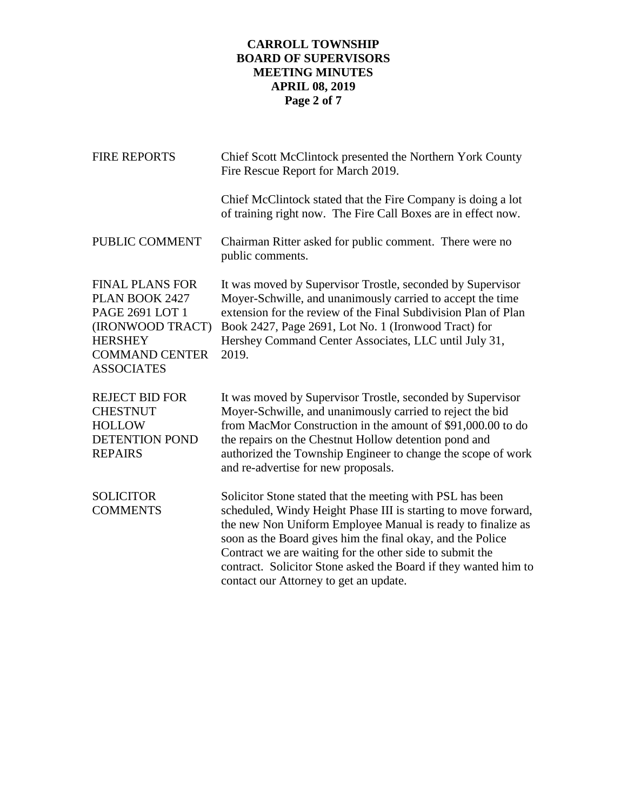# **CARROLL TOWNSHIP BOARD OF SUPERVISORS MEETING MINUTES APRIL 08, 2019 Page 2 of 7**

| <b>FIRE REPORTS</b>                                                                                                                             | Chief Scott McClintock presented the Northern York County<br>Fire Rescue Report for March 2019.                                                                                                                                                                                                                                                                                                                                   |  |  |
|-------------------------------------------------------------------------------------------------------------------------------------------------|-----------------------------------------------------------------------------------------------------------------------------------------------------------------------------------------------------------------------------------------------------------------------------------------------------------------------------------------------------------------------------------------------------------------------------------|--|--|
|                                                                                                                                                 | Chief McClintock stated that the Fire Company is doing a lot<br>of training right now. The Fire Call Boxes are in effect now.                                                                                                                                                                                                                                                                                                     |  |  |
| PUBLIC COMMENT                                                                                                                                  | Chairman Ritter asked for public comment. There were no<br>public comments.                                                                                                                                                                                                                                                                                                                                                       |  |  |
| <b>FINAL PLANS FOR</b><br>PLAN BOOK 2427<br>PAGE 2691 LOT 1<br>(IRONWOOD TRACT)<br><b>HERSHEY</b><br><b>COMMAND CENTER</b><br><b>ASSOCIATES</b> | It was moved by Supervisor Trostle, seconded by Supervisor<br>Moyer-Schwille, and unanimously carried to accept the time<br>extension for the review of the Final Subdivision Plan of Plan<br>Book 2427, Page 2691, Lot No. 1 (Ironwood Tract) for<br>Hershey Command Center Associates, LLC until July 31,<br>2019.                                                                                                              |  |  |
| <b>REJECT BID FOR</b><br><b>CHESTNUT</b><br><b>HOLLOW</b><br><b>DETENTION POND</b><br><b>REPAIRS</b>                                            | It was moved by Supervisor Trostle, seconded by Supervisor<br>Moyer-Schwille, and unanimously carried to reject the bid<br>from MacMor Construction in the amount of \$91,000.00 to do<br>the repairs on the Chestnut Hollow detention pond and<br>authorized the Township Engineer to change the scope of work<br>and re-advertise for new proposals.                                                                            |  |  |
| <b>SOLICITOR</b><br><b>COMMENTS</b>                                                                                                             | Solicitor Stone stated that the meeting with PSL has been<br>scheduled, Windy Height Phase III is starting to move forward,<br>the new Non Uniform Employee Manual is ready to finalize as<br>soon as the Board gives him the final okay, and the Police<br>Contract we are waiting for the other side to submit the<br>contract. Solicitor Stone asked the Board if they wanted him to<br>contact our Attorney to get an update. |  |  |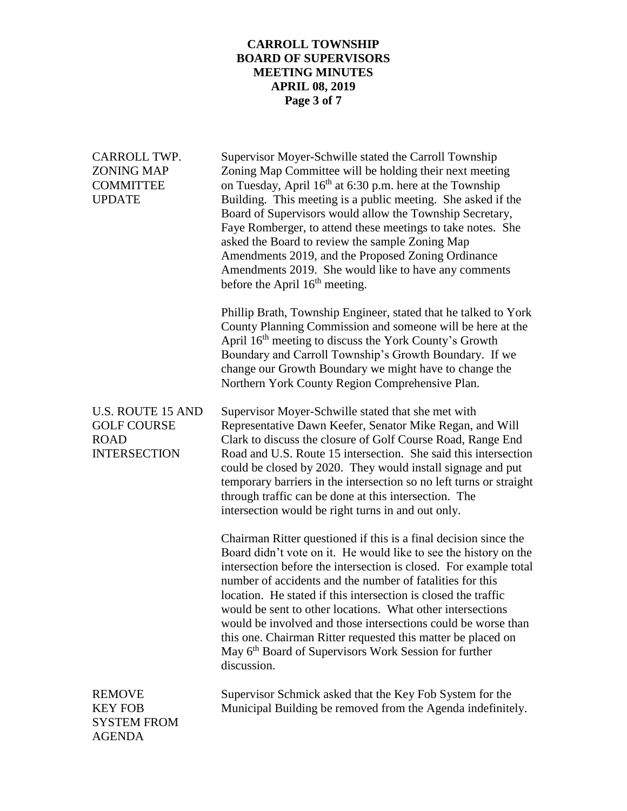# **CARROLL TOWNSHIP BOARD OF SUPERVISORS MEETING MINUTES APRIL 08, 2019 Page 3 of 7**

| CARROLL TWP.<br><b>ZONING MAP</b><br><b>COMMITTEE</b><br><b>UPDATE</b>               | Supervisor Moyer-Schwille stated the Carroll Township<br>Zoning Map Committee will be holding their next meeting<br>on Tuesday, April 16 <sup>th</sup> at 6:30 p.m. here at the Township<br>Building. This meeting is a public meeting. She asked if the<br>Board of Supervisors would allow the Township Secretary,<br>Faye Romberger, to attend these meetings to take notes. She<br>asked the Board to review the sample Zoning Map<br>Amendments 2019, and the Proposed Zoning Ordinance<br>Amendments 2019. She would like to have any comments<br>before the April $16th$ meeting.                                    |
|--------------------------------------------------------------------------------------|-----------------------------------------------------------------------------------------------------------------------------------------------------------------------------------------------------------------------------------------------------------------------------------------------------------------------------------------------------------------------------------------------------------------------------------------------------------------------------------------------------------------------------------------------------------------------------------------------------------------------------|
|                                                                                      | Phillip Brath, Township Engineer, stated that he talked to York<br>County Planning Commission and someone will be here at the<br>April 16 <sup>th</sup> meeting to discuss the York County's Growth<br>Boundary and Carroll Township's Growth Boundary. If we<br>change our Growth Boundary we might have to change the<br>Northern York County Region Comprehensive Plan.                                                                                                                                                                                                                                                  |
| <b>U.S. ROUTE 15 AND</b><br><b>GOLF COURSE</b><br><b>ROAD</b><br><b>INTERSECTION</b> | Supervisor Moyer-Schwille stated that she met with<br>Representative Dawn Keefer, Senator Mike Regan, and Will<br>Clark to discuss the closure of Golf Course Road, Range End<br>Road and U.S. Route 15 intersection. She said this intersection<br>could be closed by 2020. They would install signage and put<br>temporary barriers in the intersection so no left turns or straight<br>through traffic can be done at this intersection. The<br>intersection would be right turns in and out only.                                                                                                                       |
|                                                                                      | Chairman Ritter questioned if this is a final decision since the<br>Board didn't vote on it. He would like to see the history on the<br>intersection before the intersection is closed. For example total<br>number of accidents and the number of fatalities for this<br>location. He stated if this intersection is closed the traffic<br>would be sent to other locations. What other intersections<br>would be involved and those intersections could be worse than<br>this one. Chairman Ritter requested this matter be placed on<br>May 6 <sup>th</sup> Board of Supervisors Work Session for further<br>discussion. |
| <b>REMOVE</b><br><b>KEY FOB</b><br><b>SYSTEM FROM</b><br><b>AGENDA</b>               | Supervisor Schmick asked that the Key Fob System for the<br>Municipal Building be removed from the Agenda indefinitely.                                                                                                                                                                                                                                                                                                                                                                                                                                                                                                     |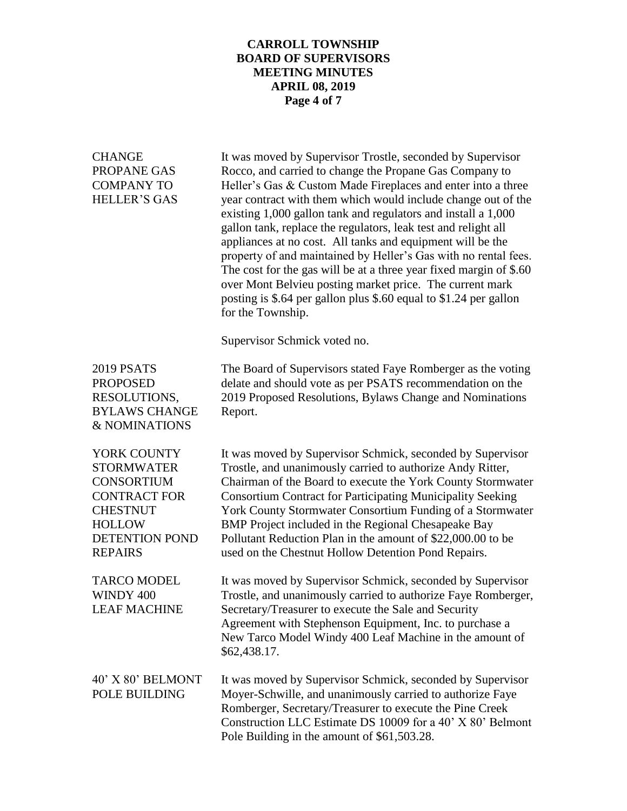### **CARROLL TOWNSHIP BOARD OF SUPERVISORS MEETING MINUTES APRIL 08, 2019 Page 4 of 7**

| <b>CHANGE</b><br>PROPANE GAS<br><b>COMPANY TO</b><br><b>HELLER'S GAS</b>                                                                                    | It was moved by Supervisor Trostle, seconded by Supervisor<br>Rocco, and carried to change the Propane Gas Company to<br>Heller's Gas & Custom Made Fireplaces and enter into a three<br>year contract with them which would include change out of the<br>existing 1,000 gallon tank and regulators and install a 1,000<br>gallon tank, replace the regulators, leak test and relight all<br>appliances at no cost. All tanks and equipment will be the<br>property of and maintained by Heller's Gas with no rental fees.<br>The cost for the gas will be at a three year fixed margin of \$.60<br>over Mont Belvieu posting market price. The current mark<br>posting is \$.64 per gallon plus \$.60 equal to \$1.24 per gallon<br>for the Township.<br>Supervisor Schmick voted no. |
|-------------------------------------------------------------------------------------------------------------------------------------------------------------|----------------------------------------------------------------------------------------------------------------------------------------------------------------------------------------------------------------------------------------------------------------------------------------------------------------------------------------------------------------------------------------------------------------------------------------------------------------------------------------------------------------------------------------------------------------------------------------------------------------------------------------------------------------------------------------------------------------------------------------------------------------------------------------|
| <b>2019 PSATS</b><br><b>PROPOSED</b><br>RESOLUTIONS,<br><b>BYLAWS CHANGE</b><br>& NOMINATIONS                                                               | The Board of Supervisors stated Faye Romberger as the voting<br>delate and should vote as per PSATS recommendation on the<br>2019 Proposed Resolutions, Bylaws Change and Nominations<br>Report.                                                                                                                                                                                                                                                                                                                                                                                                                                                                                                                                                                                       |
| YORK COUNTY<br><b>STORMWATER</b><br><b>CONSORTIUM</b><br><b>CONTRACT FOR</b><br><b>CHESTNUT</b><br><b>HOLLOW</b><br><b>DETENTION POND</b><br><b>REPAIRS</b> | It was moved by Supervisor Schmick, seconded by Supervisor<br>Trostle, and unanimously carried to authorize Andy Ritter,<br>Chairman of the Board to execute the York County Stormwater<br><b>Consortium Contract for Participating Municipality Seeking</b><br>York County Stormwater Consortium Funding of a Stormwater<br>BMP Project included in the Regional Chesapeake Bay<br>Pollutant Reduction Plan in the amount of \$22,000.00 to be<br>used on the Chestnut Hollow Detention Pond Repairs.                                                                                                                                                                                                                                                                                 |
| <b>TARCO MODEL</b><br>WINDY 400<br><b>LEAF MACHINE</b>                                                                                                      | It was moved by Supervisor Schmick, seconded by Supervisor<br>Trostle, and unanimously carried to authorize Faye Romberger,<br>Secretary/Treasurer to execute the Sale and Security<br>Agreement with Stephenson Equipment, Inc. to purchase a<br>New Tarco Model Windy 400 Leaf Machine in the amount of<br>\$62,438.17.                                                                                                                                                                                                                                                                                                                                                                                                                                                              |
| 40' X 80' BELMONT<br>POLE BUILDING                                                                                                                          | It was moved by Supervisor Schmick, seconded by Supervisor<br>Moyer-Schwille, and unanimously carried to authorize Faye<br>Romberger, Secretary/Treasurer to execute the Pine Creek<br>Construction LLC Estimate DS 10009 for a 40' X 80' Belmont<br>Pole Building in the amount of \$61,503.28.                                                                                                                                                                                                                                                                                                                                                                                                                                                                                       |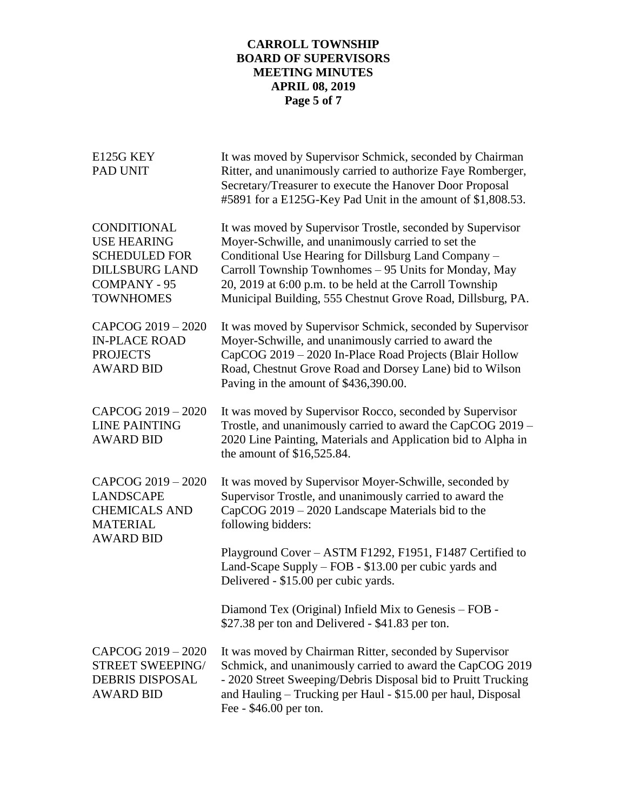# **CARROLL TOWNSHIP BOARD OF SUPERVISORS MEETING MINUTES APRIL 08, 2019 Page 5 of 7**

| E125G KEY<br><b>PAD UNIT</b>                                                                                                  | It was moved by Supervisor Schmick, seconded by Chairman<br>Ritter, and unanimously carried to authorize Faye Romberger,<br>Secretary/Treasurer to execute the Hanover Door Proposal<br>#5891 for a E125G-Key Pad Unit in the amount of \$1,808.53.                                                                                                          |
|-------------------------------------------------------------------------------------------------------------------------------|--------------------------------------------------------------------------------------------------------------------------------------------------------------------------------------------------------------------------------------------------------------------------------------------------------------------------------------------------------------|
| CONDITIONAL<br><b>USE HEARING</b><br><b>SCHEDULED FOR</b><br><b>DILLSBURG LAND</b><br><b>COMPANY - 95</b><br><b>TOWNHOMES</b> | It was moved by Supervisor Trostle, seconded by Supervisor<br>Moyer-Schwille, and unanimously carried to set the<br>Conditional Use Hearing for Dillsburg Land Company -<br>Carroll Township Townhomes - 95 Units for Monday, May<br>20, 2019 at 6:00 p.m. to be held at the Carroll Township<br>Municipal Building, 555 Chestnut Grove Road, Dillsburg, PA. |
| CAPCOG 2019 - 2020<br><b>IN-PLACE ROAD</b><br><b>PROJECTS</b><br><b>AWARD BID</b>                                             | It was moved by Supervisor Schmick, seconded by Supervisor<br>Moyer-Schwille, and unanimously carried to award the<br>CapCOG 2019 - 2020 In-Place Road Projects (Blair Hollow<br>Road, Chestnut Grove Road and Dorsey Lane) bid to Wilson<br>Paving in the amount of \$436,390.00.                                                                           |
| CAPCOG 2019 - 2020<br><b>LINE PAINTING</b><br><b>AWARD BID</b>                                                                | It was moved by Supervisor Rocco, seconded by Supervisor<br>Trostle, and unanimously carried to award the CapCOG 2019 -<br>2020 Line Painting, Materials and Application bid to Alpha in<br>the amount of \$16,525.84.                                                                                                                                       |
| CAPCOG 2019 - 2020<br><b>LANDSCAPE</b><br><b>CHEMICALS AND</b><br><b>MATERIAL</b><br><b>AWARD BID</b>                         | It was moved by Supervisor Moyer-Schwille, seconded by<br>Supervisor Trostle, and unanimously carried to award the<br>CapCOG 2019 – 2020 Landscape Materials bid to the<br>following bidders:                                                                                                                                                                |
|                                                                                                                               | Playground Cover - ASTM F1292, F1951, F1487 Certified to<br>Land-Scape Supply – FOB - \$13.00 per cubic yards and<br>Delivered - \$15.00 per cubic yards.                                                                                                                                                                                                    |
|                                                                                                                               | Diamond Tex (Original) Infield Mix to Genesis - FOB -<br>\$27.38 per ton and Delivered - \$41.83 per ton.                                                                                                                                                                                                                                                    |
| CAPCOG 2019 - 2020<br><b>STREET SWEEPING/</b><br><b>DEBRIS DISPOSAL</b><br><b>AWARD BID</b>                                   | It was moved by Chairman Ritter, seconded by Supervisor<br>Schmick, and unanimously carried to award the CapCOG 2019<br>- 2020 Street Sweeping/Debris Disposal bid to Pruitt Trucking<br>and Hauling – Trucking per Haul - \$15.00 per haul, Disposal<br>Fee - \$46.00 per ton.                                                                              |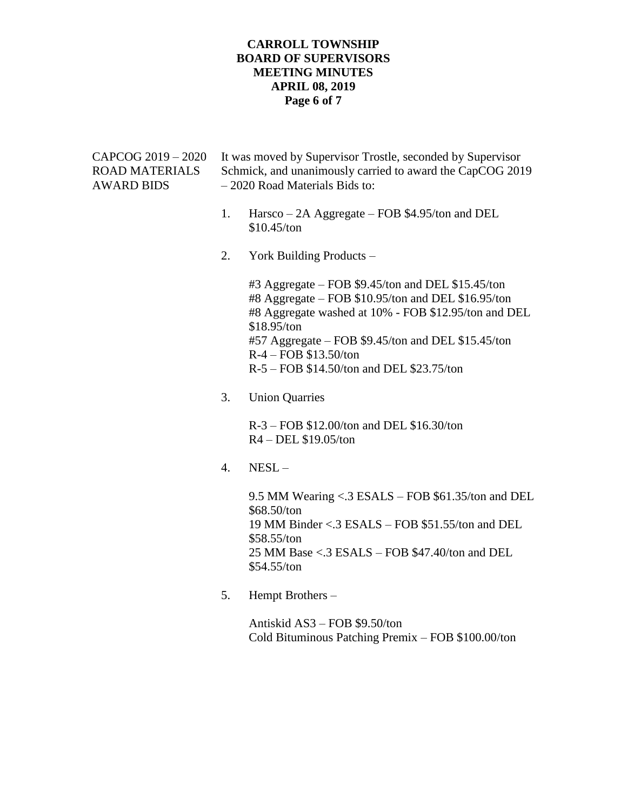#### **CARROLL TOWNSHIP BOARD OF SUPERVISORS MEETING MINUTES APRIL 08, 2019 Page 6 of 7**

| CAPCOG 2019 – 2020<br>ROAD MATERIALS<br>AWARD BIDS | It was moved by Supervisor Trostle, seconded by Supervisor<br>Schmick, and unanimously carried to award the CapCOG 2019<br>- 2020 Road Materials Bids to: |                                                                                                                                                                                                                                                                                                                  |
|----------------------------------------------------|-----------------------------------------------------------------------------------------------------------------------------------------------------------|------------------------------------------------------------------------------------------------------------------------------------------------------------------------------------------------------------------------------------------------------------------------------------------------------------------|
|                                                    | 1.                                                                                                                                                        | Harsco - 2A Aggregate - FOB \$4.95/ton and DEL<br>\$10.45/ton                                                                                                                                                                                                                                                    |
|                                                    | 2.                                                                                                                                                        | York Building Products –                                                                                                                                                                                                                                                                                         |
|                                                    |                                                                                                                                                           | $#3$ Aggregate – FOB \$9.45/ton and DEL \$15.45/ton<br>#8 Aggregate - FOB \$10.95/ton and DEL \$16.95/ton<br>#8 Aggregate washed at 10% - FOB \$12.95/ton and DEL<br>\$18.95/ton<br>#57 Aggregate – FOB \$9.45/ton and DEL \$15.45/ton<br>$R-4$ – FOB \$13.50/ton<br>$R-5 - FOB$ \$14.50/ton and DEL \$23.75/ton |
|                                                    | 3.                                                                                                                                                        | <b>Union Quarries</b>                                                                                                                                                                                                                                                                                            |
|                                                    |                                                                                                                                                           | R-3 – FOB \$12.00/ton and DEL \$16.30/ton<br>R4 - DEL \$19.05/ton                                                                                                                                                                                                                                                |
|                                                    |                                                                                                                                                           |                                                                                                                                                                                                                                                                                                                  |

4. NESL –

9.5 MM Wearing <.3 ESALS – FOB \$61.35/ton and DEL \$68.50/ton 19 MM Binder <.3 ESALS – FOB \$51.55/ton and DEL \$58.55/ton 25 MM Base <.3 ESALS – FOB \$47.40/ton and DEL \$54.55/ton

5. Hempt Brothers –

Antiskid AS3 – FOB \$9.50/ton Cold Bituminous Patching Premix – FOB \$100.00/ton